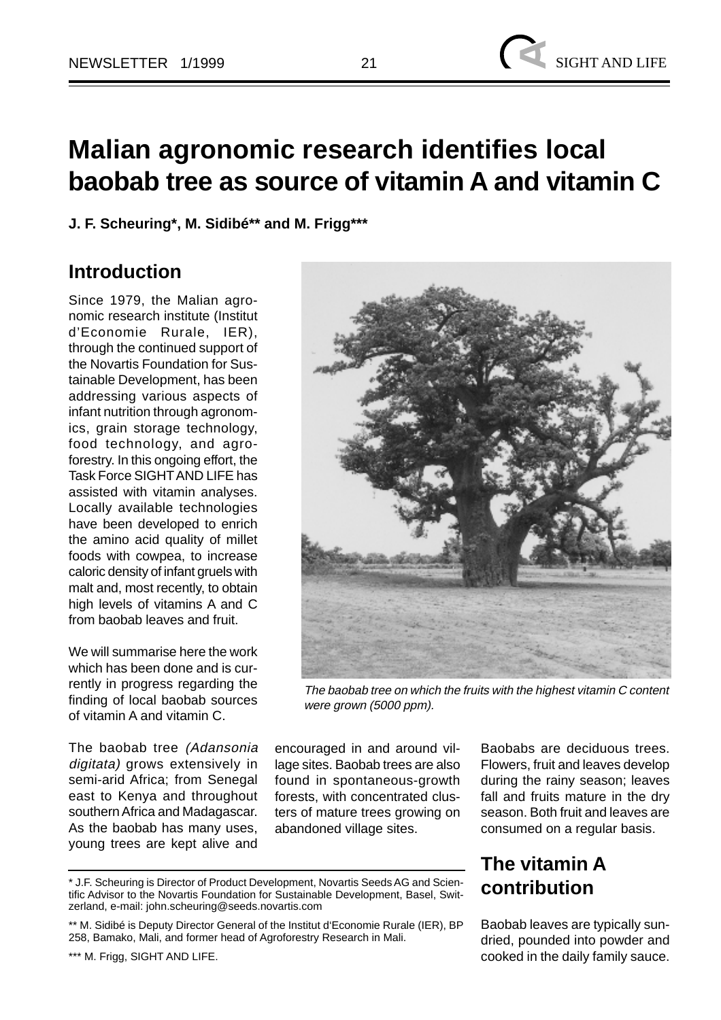# **Malian agronomic research identifies local baobab tree as source of vitamin A and vitamin C**

**J. F. Scheuring\*, M. Sidibé\*\* and M. Frigg\*\*\***

#### **Introduction**

Since 1979, the Malian agronomic research institute (Institut d'Economie Rurale, IER), through the continued support of the Novartis Foundation for Sustainable Development, has been addressing various aspects of infant nutrition through agronomics, grain storage technology, food technology, and agroforestry. In this ongoing effort, the Task Force SIGHT AND LIFE has assisted with vitamin analyses. Locally available technologies have been developed to enrich the amino acid quality of millet foods with cowpea, to increase caloric density of infant gruels with malt and, most recently, to obtain high levels of vitamins A and C from baobab leaves and fruit.

We will summarise here the work which has been done and is currently in progress regarding the finding of local baobab sources of vitamin A and vitamin C.

The baobab tree (Adansonia digitata) grows extensively in semi-arid Africa; from Senegal east to Kenya and throughout southern Africa and Madagascar. As the baobab has many uses, young trees are kept alive and

The baobab tree on which the fruits with the highest vitamin C content were grown (5000 ppm).

encouraged in and around village sites. Baobab trees are also found in spontaneous-growth forests, with concentrated clusters of mature trees growing on abandoned village sites.

Baobabs are deciduous trees. Flowers, fruit and leaves develop during the rainy season; leaves fall and fruits mature in the dry season. Both fruit and leaves are consumed on a regular basis.

### **The vitamin A contribution**

Baobab leaves are typically sundried, pounded into powder and cooked in the daily family sauce.

<sup>\*</sup> J.F. Scheuring is Director of Product Development, Novartis Seeds AG and Scientific Advisor to the Novartis Foundation for Sustainable Development, Basel, Switzerland, e-mail: john.scheuring@seeds.novartis.com

<sup>\*\*</sup> M. Sidibé is Deputy Director General of the Institut d'Economie Rurale (IER), BP 258, Bamako, Mali, and former head of Agroforestry Research in Mali.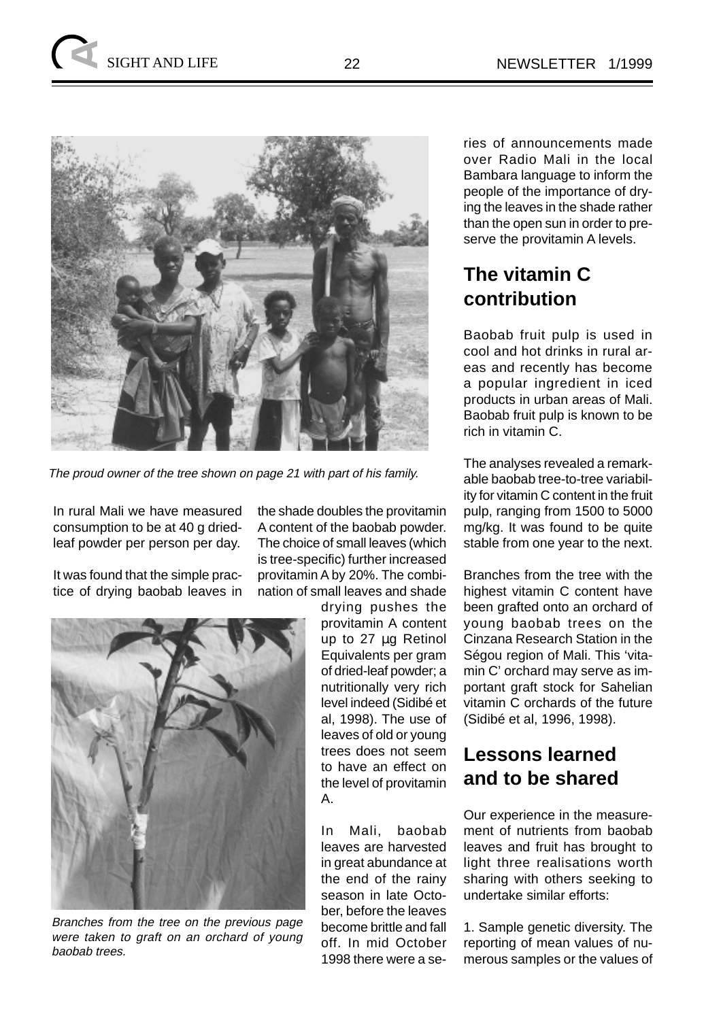

The proud owner of the tree shown on page 21 with part of his family.

In rural Mali we have measured consumption to be at 40 g driedleaf powder per person per day.

It was found that the simple practice of drying baobab leaves in the shade doubles the provitamin A content of the baobab powder. The choice of small leaves (which is tree-specific) further increased provitamin A by 20%. The combination of small leaves and shade



Branches from the tree on the previous page were taken to graft on an orchard of young baobab trees.

drying pushes the provitamin A content up to 27 µg Retinol Equivalents per gram of dried-leaf powder; a nutritionally very rich level indeed (Sidibé et al, 1998). The use of leaves of old or young trees does not seem to have an effect on the level of provitamin A.

In Mali, baobab leaves are harvested in great abundance at the end of the rainy season in late October, before the leaves become brittle and fall off. In mid October 1998 there were a series of announcements made over Radio Mali in the local Bambara language to inform the people of the importance of drying the leaves in the shade rather than the open sun in order to preserve the provitamin A levels.

## **The vitamin C contribution**

Baobab fruit pulp is used in cool and hot drinks in rural areas and recently has become a popular ingredient in iced products in urban areas of Mali. Baobab fruit pulp is known to be rich in vitamin C.

The analyses revealed a remarkable baobab tree-to-tree variability for vitamin C content in the fruit pulp, ranging from 1500 to 5000 mg/kg. It was found to be quite stable from one year to the next.

Branches from the tree with the highest vitamin C content have been grafted onto an orchard of young baobab trees on the Cinzana Research Station in the Ségou region of Mali. This 'vitamin C' orchard may serve as important graft stock for Sahelian vitamin C orchards of the future (Sidibé et al, 1996, 1998).

#### **Lessons learned and to be shared**

Our experience in the measurement of nutrients from baobab leaves and fruit has brought to light three realisations worth sharing with others seeking to undertake similar efforts:

1. Sample genetic diversity. The reporting of mean values of numerous samples or the values of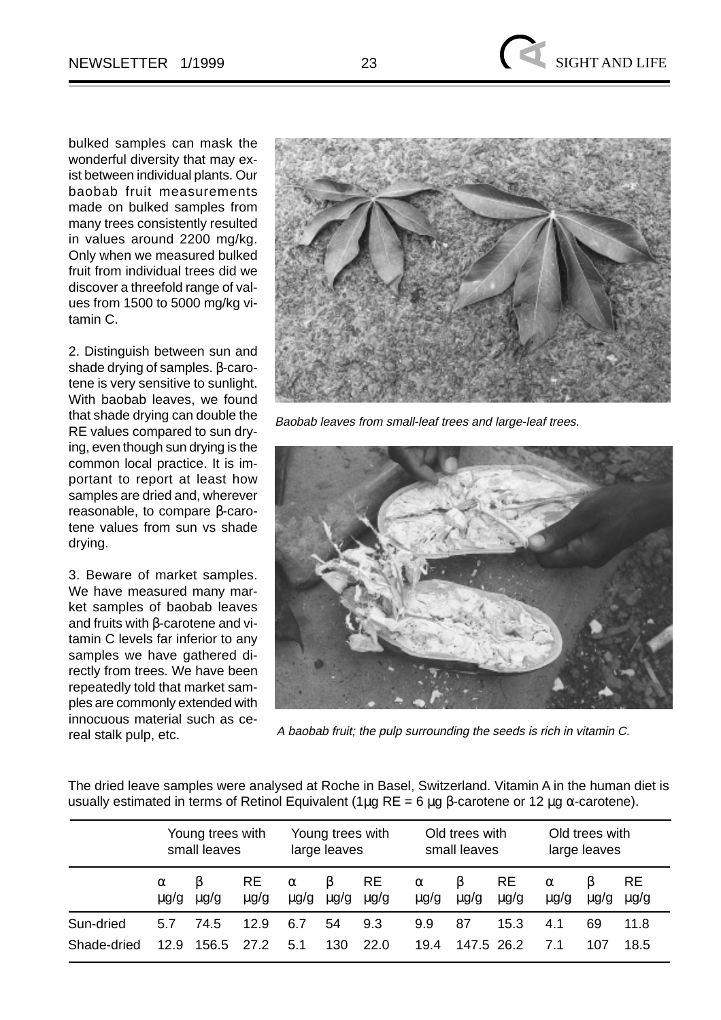bulked samples can mask the wonderful diversity that may exist between individual plants. Our baobab fruit measurements made on bulked samples from many trees consistently resulted in values around 2200 mg/kg. Only when we measured bulked fruit from individual trees did we discover a threefold range of values from 1500 to 5000 mg/kg vitamin C.

2. Distinguish between sun and shade drying of samples. β-carotene is very sensitive to sunlight. With baobab leaves, we found that shade drying can double the RE values compared to sun drying, even though sun drying is the common local practice. It is important to report at least how samples are dried and, wherever reasonable, to compare β-carotene values from sun vs shade drying.

3. Beware of market samples. We have measured many market samples of baobab leaves and fruits with β-carotene and vitamin C levels far inferior to any samples we have gathered directly from trees. We have been repeatedly told that market samples are commonly extended with innocuous material such as cereal stalk pulp, etc.



Baobab leaves from small-leaf trees and large-leaf trees.



A baobab fruit; the pulp surrounding the seeds is rich in vitamin C.

The dried leave samples were analysed at Roche in Basel, Switzerland. Vitamin A in the human diet is usually estimated in terms of Retinol Equivalent (1μg RE = 6 μg β-carotene or 12 μg  $\alpha$ -carotene).

|             | Young trees with<br>small leaves |           |                        | Young trees with<br>large leaves |                |                        | Old trees with<br>small leaves |                |                        | Old trees with<br>large leaves |                |                        |
|-------------|----------------------------------|-----------|------------------------|----------------------------------|----------------|------------------------|--------------------------------|----------------|------------------------|--------------------------------|----------------|------------------------|
|             | $\alpha$<br>$\mu$ g/g            | $\mu$ g/g | <b>RE</b><br>$\mu$ g/g | $\alpha$<br>$\mu$ g/g            | B<br>$\mu$ g/g | <b>RE</b><br>$\mu$ g/g | $\alpha$<br>$\mu$ g/g          | B<br>$\mu$ g/g | <b>RE</b><br>$\mu$ g/g | $\alpha$<br>$\mu$ g/g          | B<br>$\mu$ g/g | <b>RE</b><br>$\mu$ g/g |
| Sun-dried   | 5.7                              | 74.5      | 12.9                   | 6.7                              | 54             | 9.3                    | 9.9                            | 87             | 15.3                   | 4.1                            | 69             | 11.8                   |
| Shade-dried | 12.9                             | 156.5     | 27.2                   | 5.1                              | 130            | 22.0                   | 19.4                           | 147.5 26.2     |                        | 7.1                            | 107            | 18.5                   |